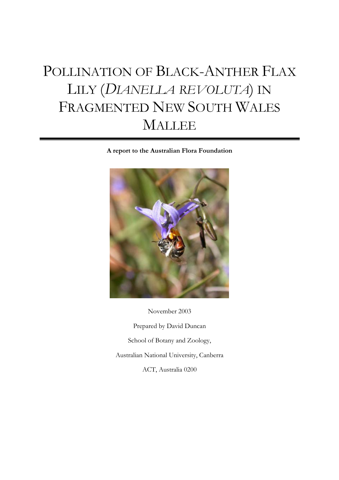# POLLINATION OF BLACK-ANTHER FLAX LILY (*DIANELLA REVOLUTA*) IN FRAGMENTED NEW SOUTH WALES MALLEE

**A report to the Australian Flora Foundation**



Prepared by David Duncan School of Botany and Zoology, Australian National University, Canberra ACT, Australia 0200

November 2003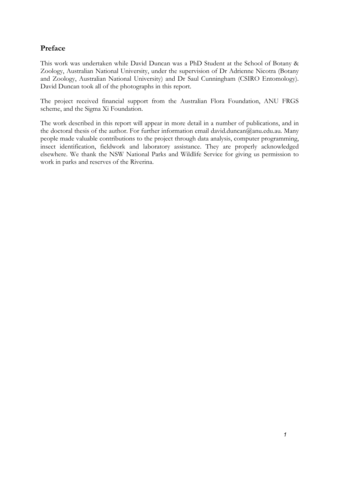#### <span id="page-1-0"></span>**Preface**

This work was undertaken while David Duncan was a PhD Student at the School of Botany & Zoology, Australian National University, under the supervision of Dr Adrienne Nicotra (Botany and Zoology, Australian National University) and Dr Saul Cunningham (CSIRO Entomology). David Duncan took all of the photographs in this report.

The project received financial support from the Australian Flora Foundation, ANU FRGS scheme, and the Sigma Xi Foundation.

The work described in this report will appear in more detail in a number of publications, and in the doctoral thesis of the author. For further information email david.duncan@anu.edu.au. Many people made valuable contributions to the project through data analysis, computer programming, insect identification, fieldwork and laboratory assistance. They are properly acknowledged elsewhere. We thank the NSW National Parks and Wildlife Service for giving us permission to work in parks and reserves of the Riverina.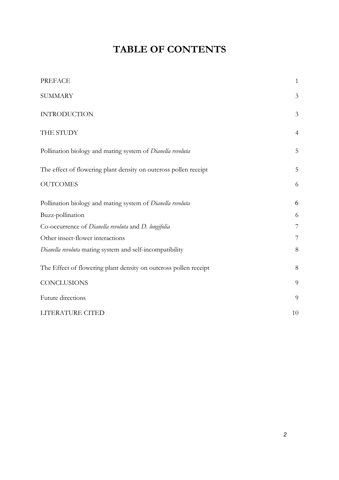## **TABLE OF CONTENTS**

| <b>PREFACE</b>                                                   | $\mathbf{1}$   |
|------------------------------------------------------------------|----------------|
| <b>SUMMARY</b>                                                   | 3              |
| <b>INTRODUCTION</b>                                              | $\mathfrak{Z}$ |
| THE STUDY                                                        | $\overline{4}$ |
| Pollination biology and mating system of Dianella revoluta       | 5              |
| The effect of flowering plant density on outcross pollen receipt | 5              |
| <b>OUTCOMES</b>                                                  | 6              |
| Pollination biology and mating system of Dianella revoluta       | 6              |
| Buzz-pollination                                                 | 6              |
| Co-occurrence of Dianella revoluta and D. longifolia             | 7              |
| Other insect-flower interactions                                 | 7              |
| Dianella revoluta mating system and self-incompatibility         | 8              |
| The Effect of flowering plant density on outcross pollen receipt | 8              |
| <b>CONCLUSIONS</b>                                               | 9              |
| Future directions                                                | 9              |
| LITERATURE CITED                                                 | 10             |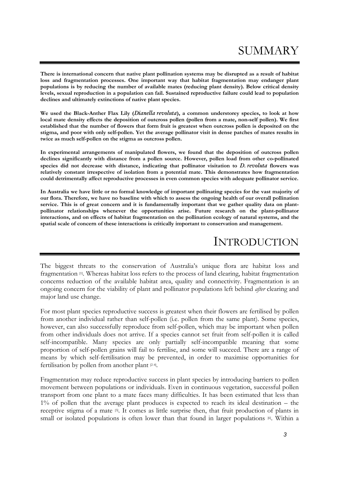## SUMMARY

<span id="page-3-0"></span>**There is international concern that native plant pollination systems may be disrupted as a result of habitat loss and fragmentation processes. One important way that habitat fragmentation may endanger plant populations is by reducing the number of available mates (reducing plant density). Below critical density levels, sexual reproduction in a population can fail. Sustained reproductive failure could lead to population declines and ultimately extinctions of native plant species.** 

**We used the Black-Anther Flax Lily (***Dianella revoluta***), a common understorey species, to look at how local mate density effects the deposition of outcross pollen (pollen from a mate, non-self pollen). We first established that the number of flowers that form fruit is greatest when outcross pollen is deposited on the stigma, and poor with only self-pollen. Yet the average pollinator visit in dense patches of mates results in twice as much self-pollen on the stigma as outcross pollen.** 

**In experimental arrangements of manipulated flowers, we found that the deposition of outcross pollen declines significantly with distance from a pollen source. However, pollen load from other co-pollinated species did not decrease with distance, indicating that pollinator visitation to** *D. revoluta* **flowers was relatively constant irrespective of isolation from a potential mate. This demonstrates how fragmentation could detrimentally affect reproductive processes in even common species with adequate pollinator service.** 

**In Australia we have little or no formal knowledge of important pollinating species for the vast majority of our flora. Therefore, we have no baseline with which to assess the ongoing health of our overall pollination service. This is of great concern and it is fundamentally important that we gather quality data on plantpollinator relationships whenever the opportunities arise. Future research on the plant-pollinator interactions, and on effects of habitat fragmentation on the pollination ecology of natural systems, and the spatial scale of concern of these interactions is critically important to conservation and management.** 

## INTRODUCTION

The biggest threats to the conservation of Australia's unique flora are habitat loss and fragmentation  $[1]$ . Whereas habitat loss refers to the process of land clearing, habitat fragmentation concerns reduction of the available habitat area, quality and connectivity. Fragmentation is an ongoing concern for the viability of plant and pollinator populations left behind *after* clearing and major land use change.

For most plant species reproductive success is greatest when their flowers are fertilised by pollen from another individual rather than self-pollen (i.e. pollen from the same plant). Some species, however, can also successfully reproduce from self-pollen, which may be important when pollen from other individuals does not arrive. If a species cannot set fruit from self-pollen it is called self-incompatible. Many species are only partially self-incompatible meaning that some proportion of self-pollen grains will fail to fertilise, and some will succeed. There are a range of means by which self-fertilisation may be prevented, in order to maximise opportunities for fertilisation by pollen from another plant [2-4].

Fragmentation may reduce reproductive success in plant species by introducing barriers to pollen movement between populations or individuals. Even in continuous vegetation, successful pollen transport from one plant to a mate faces many difficulties. It has been estimated that less than 1% of pollen that the average plant produces is expected to reach its ideal destination – the receptive stigma of a mate [5]. It comes as little surprise then, that fruit production of plants in small or isolated populations is often lower than that found in larger populations [6]. Within a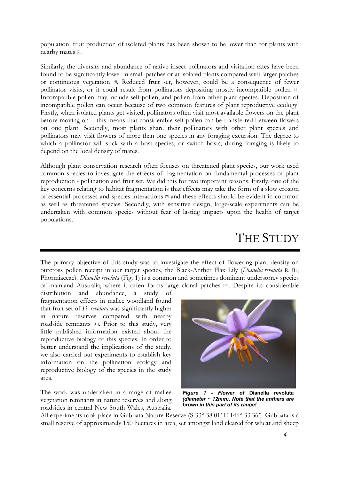<span id="page-4-0"></span>population, fruit production of isolated plants has been shown to be lower than for plants with nearby mates [7].

Similarly, the diversity and abundance of native insect pollinators and visitation rates have been found to be significantly lower in small patches or at isolated plants compared with larger patches or continuous vegetation [6]. Reduced fruit set, however, could be a consequence of fewer pollinator visits, or it could result from pollinators depositing mostly incompatible pollen [8]. Incompatible pollen may include self-pollen, and pollen from other plant species. Deposition of incompatible pollen can occur because of two common features of plant reproductive ecology. Firstly, when isolated plants get visited, pollinators often visit most available flowers on the plant before moving on – this means that considerable self-pollen can be transferred between flowers on one plant. Secondly, most plants share their pollinators with other plant species and pollinators may visit flowers of more than one species in any foraging excursion. The degree to which a pollinator will stick with a host species, or switch hosts, during foraging is likely to depend on the local density of mates.

Although plant conservation research often focuses on threatened plant species, our work used common species to investigate the effects of fragmentation on fundamental processes of plant reproduction - pollination and fruit set. We did this for two important reasons. Firstly, one of the key concerns relating to habitat fragmentation is that effects may take the form of a slow erosion of essential processes and species interactions [9] and these effects should be evident in common as well as threatened species. Secondly, with sensitive design, large-scale experiments can be undertaken with common species without fear of lasting impacts upon the health of target populations.

## THE STUDY

The primary objective of this study was to investigate the effect of flowering plant density on outcross pollen receipt in our target species, the Black-Anther Flax Lily (*Dianella revoluta* R. Br; Phormiaceae). *Dianella revoluta* (Fig. 1) is a common and sometimes dominant understorey species of mainland Australia, where it often forms large clonal patches [10]. Despite its considerable

distribution and abundance, a study of fragmentation effects in mallee woodland found that fruit set of *D. revoluta* was significantly higher in nature reserves compared with nearby roadside remnants [11]. Prior to this study, very little published information existed about the reproductive biology of this species. In order to better understand the implications of the study, we also carried out experiments to establish key information on the pollination ecology and reproductive biology of the species in the study area.

The work was undertaken in a range of mallee vegetation remnants in nature reserves and along roadsides in central New South Wales, Australia.



*Figure 1 - Flower of* **Dianella revoluta** *(diameter ~ 12mm). Note that the anthers are brown in this part of its range!*

All experiments took place in Gubbata Nature Reserve (S 33° 38.01' E 146° 33.36'). Gubbata is a small reserve of approximately 150 hectares in area, set amongst land cleared for wheat and sheep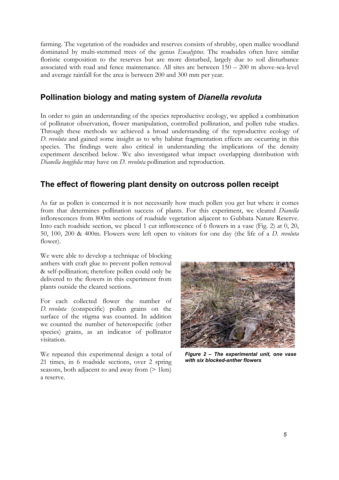<span id="page-5-0"></span>farming. The vegetation of the roadsides and reserves consists of shrubby, open mallee woodland dominated by multi-stemmed trees of the genus *Eucalyptus*. The roadsides often have similar floristic composition to the reserves but are more disturbed, largely due to soil disturbance associated with road and fence maintenance. All sites are between 150 – 200 m above-sea-level and average rainfall for the area is between 200 and 300 mm per year.

#### **Pollination biology and mating system of** *Dianella revoluta*

In order to gain an understanding of the species reproductive ecology, we applied a combination of pollinator observation, flower manipulation, controlled pollination, and pollen tube studies. Through these methods we achieved a broad understanding of the reproductive ecology of *D. revoluta* and gained some insight as to why habitat fragmentation effects are occurring in this species. The findings were also critical in understanding the implications of the density experiment described below. We also investigated what impact overlapping distribution with *Dianella longifolia* may have on *D. revoluta* pollination and reproduction.

#### **The effect of flowering plant density on outcross pollen receipt**

As far as pollen is concerned it is not necessarily how much pollen you get but where it comes from that determines pollination success of plants. For this experiment, we cleared *Dianella* inflorescences from 800m sections of roadside vegetation adjacent to Gubbata Nature Reserve. Into each roadside section, we placed 1 cut inflorescence of 6 flowers in a vase (Fig. 2) at 0, 20, 50, 100, 200 & 400m. Flowers were left open to visitors for one day (the life of a *D. revoluta* flower).

We were able to develop a technique of blocking anthers with craft glue to prevent pollen removal & self-pollination; therefore pollen could only be delivered to the flowers in this experiment from plants outside the cleared sections.

For each collected flower the number of *D. revoluta* (conspecific) pollen grains on the surface of the stigma was counted. In addition we counted the number of heterospecific (other species) grains, as an indicator of pollinator visitation.

We repeated this experimental design a total of 21 times, in 6 roadside sections, over 2 spring seasons, both adjacent to and away from  $($ > 1km) a reserve.



*Figure 2 – The experimental unit, one vase with six blocked-anther flowers*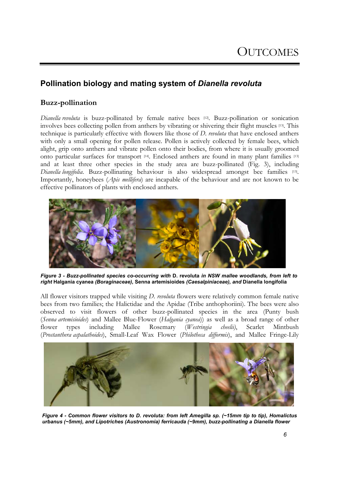#### <span id="page-6-0"></span>**Pollination biology and mating system of** *Dianella revoluta*

#### **Buzz-pollination**

*Dianella revoluta* is buzz-pollinated by female native bees [12]. Buzz-pollination or sonication involves bees collecting pollen from anthers by vibrating or shivering their flight muscles [13]. This technique is particularly effective with flowers like those of *D. revoluta* that have enclosed anthers with only a small opening for pollen release. Pollen is actively collected by female bees, which alight, grip onto anthers and vibrate pollen onto their bodies, from where it is usually groomed onto particular surfaces for transport [14]. Enclosed anthers are found in many plant families [13] and at least three other species in the study area are buzz-pollinated (Fig. 3), including *Dianella longifolia*. Buzz-pollinating behaviour is also widespread amongst bee families [13]. Importantly, honeybees (*Apis mellifera*) are incapable of the behaviour and are not known to be effective pollinators of plants with enclosed anthers.



*Figure 3 - Buzz-pollinated species co-occurring with* **D. revoluta** *in NSW mallee woodlands, from left to right* **Halgania cyanea** *(Boraginaceae),* **Senna artemisioides** *(Caesalpiniaceae), and* **Dianella longifolia**

All flower visitors trapped while visiting *D. revoluta* flowers were relatively common female native bees from two families; the Halictidae and the Apidae (Tribe anthophoriini). The bees were also observed to visit flowers of other buzz-pollinated species in the area (Punty bush (*Senna artemisioides*) and Mallee Blue-Flower (*Halgania cyanea*)) as well as a broad range of other flower types including Mallee Rosemary (*Westringia cheelii)*, Scarlet Mintbush (*Prostanthera aspalathoides*), Small-Leaf Wax Flower (*Philotheca difformis*), and Mallee Fringe-Lily



*Figure 4 - Common flower visitors to D. revoluta: from left Amegilla sp. (~15mm tip to tip), Homalictus urbanus (~5mm), and Lipotriches (Austronomia) ferricauda (~9mm), buzz-pollinating a Dianella flower*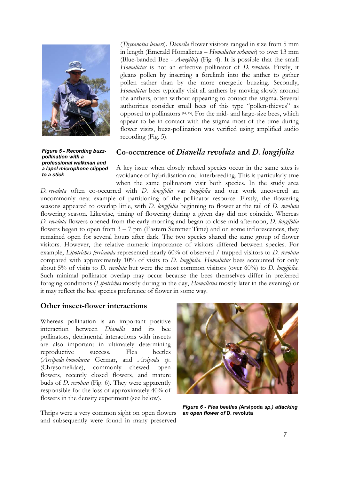<span id="page-7-0"></span>

(*Thysanotus baueri*). *Dianella* flower visitors ranged in size from 5 mm in length (Emerald Homalictus – *Homalictus urbanus*) to over 13 mm (Blue-banded Bee - *Amegilla*) (Fig. 4). It is possible that the small *Homalictus* is not an effective pollinator of *D. revoluta*. Firstly, it gleans pollen by inserting a forelimb into the anther to gather pollen rather than by the more energetic buzzing. Secondly, *Homalictus* bees typically visit all anthers by moving slowly around the anthers, often without appearing to contact the stigma. Several authorities consider small bees of this type "pollen-thieves" as opposed to pollinators [14, 15]. For the mid- and large-size bees, which appear to be in contact with the stigma most of the time during flower visits, buzz-pollination was verified using amplified audio recording (Fig. 5).

*Figure 5 - Recording buzzpollination with a professional walkman and a lapel microphone clipped to a stick* 

#### **Co-occurrence of** *Dianella revoluta* **and** *D. longifolia*

A key issue when closely related species occur in the same sites is avoidance of hybridisation and interbreeding. This is particularly true when the same pollinators visit both species. In the study area

*D. revoluta* often co-occurred with *D*. *longifolia* var *longifolia* and our work uncovered an uncommonly neat example of partitioning of the pollinator resource. Firstly, the flowering seasons appeared to overlap little, with *D. longifolia* beginning to flower at the tail of *D. revoluta* flowering season. Likewise, timing of flowering during a given day did not coincide. Whereas *D. revoluta* flowers opened from the early morning and began to close mid afternoon, *D. longifolia* flowers began to open from  $3 - 7$  pm (Eastern Summer Time) and on some inflorescences, they remained open for several hours after dark. The two species shared the same group of flower visitors. However, the relative numeric importance of visitors differed between species. For example, *Lipotriches ferricauda* represented nearly 60% of observed / trapped visitors to *D. revoluta* compared with approximately 10% of visits to *D. longifolia*. *Homalictus* bees accounted for only about 5% of visits to *D. revoluta* but were the most common visitors (over 60%) to *D. longifolia*. Such minimal pollinator overlap may occur because the bees themselves differ in preferred foraging conditions (*Lipotriches* mostly during in the day, *Homalictus* mostly later in the evening) or it may reflect the bee species preference of flower in some way.

#### **Other insect-flower interactions**

Whereas pollination is an important positive interaction between *Dianella* and its bee pollinators, detrimental interactions with insects are also important in ultimately determining reproductive success. Flea beetles (*Arsipoda homolaena* Germar, and *Arsipoda sp*. (Chrysomelidae), commonly chewed open flowers, recently closed flowers, and mature buds of *D. revoluta* (Fig. 6). They were apparently responsible for the loss of approximately 40% of flowers in the density experiment (see below).

Thrips were a very common sight on open flowers *an open flower of* **D. revoluta** and subsequently were found in many preserved



*Figure 6 - Flea beetles (***Arsipoda** *sp.) attacking*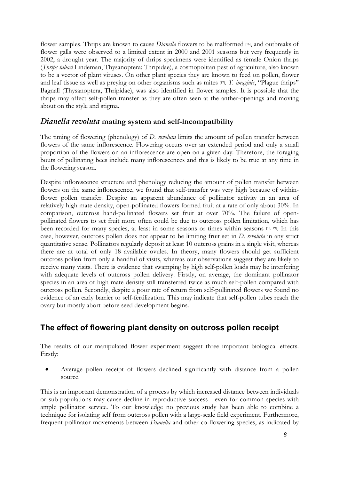<span id="page-8-0"></span>flower samples. Thrips are known to cause *Dianella* flowers to be malformed [16], and outbreaks of flower galls were observed to a limited extent in 2000 and 2001 seasons but very frequently in 2002, a drought year. The majority of thrips specimens were identified as female Onion thrips (*Thrips tabaci* Lindeman, Thysanoptera: Thripidae), a cosmopolitan pest of agriculture, also known to be a vector of plant viruses. On other plant species they are known to feed on pollen, flower and leaf tissue as well as preying on other organisms such as mites [17]. *T. imaginis*, "Plague thrips" Bagnall (Thysanoptera, Thripidae), was also identified in flower samples. It is possible that the thrips may affect self-pollen transfer as they are often seen at the anther-openings and moving about on the style and stigma.

#### *Dianella revoluta* **mating system and self-incompatibility**

The timing of flowering (phenology) of *D. revoluta* limits the amount of pollen transfer between flowers of the same inflorescence. Flowering occurs over an extended period and only a small proportion of the flowers on an inflorescence are open on a given day. Therefore, the foraging bouts of pollinating bees include many inflorescences and this is likely to be true at any time in the flowering season.

Despite inflorescence structure and phenology reducing the amount of pollen transfer between flowers on the same inflorescence, we found that self-transfer was very high because of withinflower pollen transfer. Despite an apparent abundance of pollinator activity in an area of relatively high mate density, open-pollinated flowers formed fruit at a rate of only about 30%. In comparison, outcross hand-pollinated flowers set fruit at over 70%. The failure of openpollinated flowers to set fruit more often could be due to outcross pollen limitation, which has been recorded for many species, at least in some seasons or times within seasons [18, 19]. In this case, however, outcross pollen does not appear to be limiting fruit set in *D. revoluta* in any strict quantitative sense. Pollinators regularly deposit at least 10 outcross grains in a single visit, whereas there are at total of only 18 available ovules. In theory, many flowers should get sufficient outcross pollen from only a handful of visits, whereas our observations suggest they are likely to receive many visits. There is evidence that swamping by high self-pollen loads may be interfering with adequate levels of outcross pollen delivery. Firstly, on average, the dominant pollinator species in an area of high mate density still transferred twice as much self-pollen compared with outcross pollen. Secondly, despite a poor rate of return from self-pollinated flowers we found no evidence of an early barrier to self-fertilization. This may indicate that self-pollen tubes reach the ovary but mostly abort before seed development begins.

#### **The effect of flowering plant density on outcross pollen receipt**

The results of our manipulated flower experiment suggest three important biological effects. Firstly:

• Average pollen receipt of flowers declined significantly with distance from a pollen source.

This is an important demonstration of a process by which increased distance between individuals or sub-populations may cause decline in reproductive success - even for common species with ample pollinator service. To our knowledge no previous study has been able to combine a technique for isolating self from outcross pollen with a large-scale field experiment. Furthermore, frequent pollinator movements between *Dianella* and other co-flowering species, as indicated by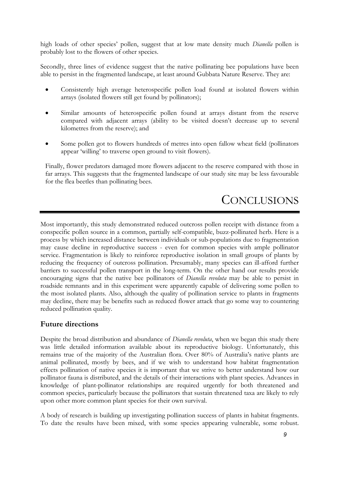<span id="page-9-0"></span>high loads of other species' pollen, suggest that at low mate density much *Dianella* pollen is probably lost to the flowers of other species.

Secondly, three lines of evidence suggest that the native pollinating bee populations have been able to persist in the fragmented landscape, at least around Gubbata Nature Reserve. They are:

- Consistently high average heterospecific pollen load found at isolated flowers within arrays (isolated flowers still get found by pollinators);
- Similar amounts of heterospecific pollen found at arrays distant from the reserve compared with adjacent arrays (ability to be visited doesn't decrease up to several kilometres from the reserve); and
- Some pollen got to flowers hundreds of metres into open fallow wheat field (pollinators appear 'willing' to traverse open ground to visit flowers).

Finally, flower predators damaged more flowers adjacent to the reserve compared with those in far arrays. This suggests that the fragmented landscape of our study site may be less favourable for the flea beetles than pollinating bees.

## **CONCLUSIONS**

Most importantly, this study demonstrated reduced outcross pollen receipt with distance from a conspecific pollen source in a common, partially self-compatible, buzz-pollinated herb. Here is a process by which increased distance between individuals or sub-populations due to fragmentation may cause decline in reproductive success - even for common species with ample pollinator service. Fragmentation is likely to reinforce reproductive isolation in small groups of plants by reducing the frequency of outcross pollination. Presumably, many species can ill-afford further barriers to successful pollen transport in the long-term. On the other hand our results provide encouraging signs that the native bee pollinators of *Dianella revoluta* may be able to persist in roadside remnants and in this experiment were apparently capable of delivering some pollen to the most isolated plants. Also, although the quality of pollination service to plants in fragments may decline, there may be benefits such as reduced flower attack that go some way to countering reduced pollination quality.

#### **Future directions**

Despite the broad distribution and abundance of *Dianella revoluta*, when we began this study there was little detailed information available about its reproductive biology. Unfortunately, this remains true of the majority of the Australian flora. Over 80% of Australia's native plants are animal pollinated, mostly by bees, and if we wish to understand how habitat fragmentation effects pollination of native species it is important that we strive to better understand how our pollinator fauna is distributed, and the details of their interactions with plant species. Advances in knowledge of plant-pollinator relationships are required urgently for both threatened and common species, particularly because the pollinators that sustain threatened taxa are likely to rely upon other more common plant species for their own survival.

A body of research is building up investigating pollination success of plants in habitat fragments. To date the results have been mixed, with some species appearing vulnerable, some robust.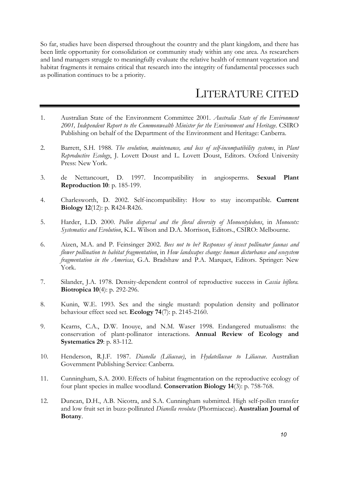<span id="page-10-0"></span>So far, studies have been dispersed throughout the country and the plant kingdom, and there has been little opportunity for consolidation or community study within any one area. As researchers and land managers struggle to meaningfully evaluate the relative health of remnant vegetation and habitat fragments it remains critical that research into the integrity of fundamental processes such as pollination continues to be a priority.

## LITERATURE CITED

- 1. Australian State of the Environment Committee 2001. *Australia State of the Environment 2001, Independent Report to the Commonwealth Minister for the Environment and Heritage*. CSIRO Publishing on behalf of the Department of the Environment and Heritage: Canberra.
- 2. Barrett, S.H. 1988. *The evolution, maintenance, and loss of self-incompatibility systems*, in *Plant Reproductive Ecology*, J. Lovett Doust and L. Lovett Doust, Editors. Oxford University Press: New York.
- 3. de Nettancourt, D. 1997. Incompatibility in angiosperms*.* **Sexual Plant Reproduction 10**: p. 185-199.
- 4. Charlesworth, D. 2002. Self-incompatibility: How to stay incompatible*.* **Current Biology 12**(12): p. R424-R426.
- 5. Harder, L.D. 2000. *Pollen dispersal and the floral diversity of Monocotyledons*, in *Monocots: Systematics and Evolution*, K.L. Wilson and D.A. Morrison, Editors., CSIRO: Melbourne.
- 6. Aizen, M.A. and P. Feinsinger 2002. *Bees not to be? Responses of insect pollinator faunas and flower pollination to habitat fragmentation*, in *How landscapes change: human disturbance and ecosystem fragmentation in the Americas*, G.A. Bradshaw and P.A. Marquet, Editors. Springer: New York.
- 7. Silander, J.A. 1978. Density-dependent control of reproductive success in *Cassia biflora.* **Biotropica 10**(4): p. 292-296.
- 8. Kunin, W.E. 1993. Sex and the single mustard: population density and pollinator behaviour effect seed set*.* **Ecology 74**(7): p. 2145-2160.
- 9. Kearns, C.A., D.W. Inouye, and N.M. Waser 1998. Endangered mutualisms: the conservation of plant-pollinator interactions*.* **Annual Review of Ecology and Systematics 29**: p. 83-112.
- 10. Henderson, R.J.F. 1987. *Dianella (Liliaceae)*, in *Hydatellaceae to Liliaceae*. Australian Government Publishing Service: Canberra.
- 11. Cunningham, S.A. 2000. Effects of habitat fragmentation on the reproductive ecology of four plant species in mallee woodland*.* **Conservation Biology 14**(3): p. 758-768.
- 12. Duncan, D.H., A.B. Nicotra, and S.A. Cunningham submitted. High self-pollen transfer and low fruit set in buzz-pollinated *Dianella revoluta* (Phormiaceae). **Australian Journal of Botany**.